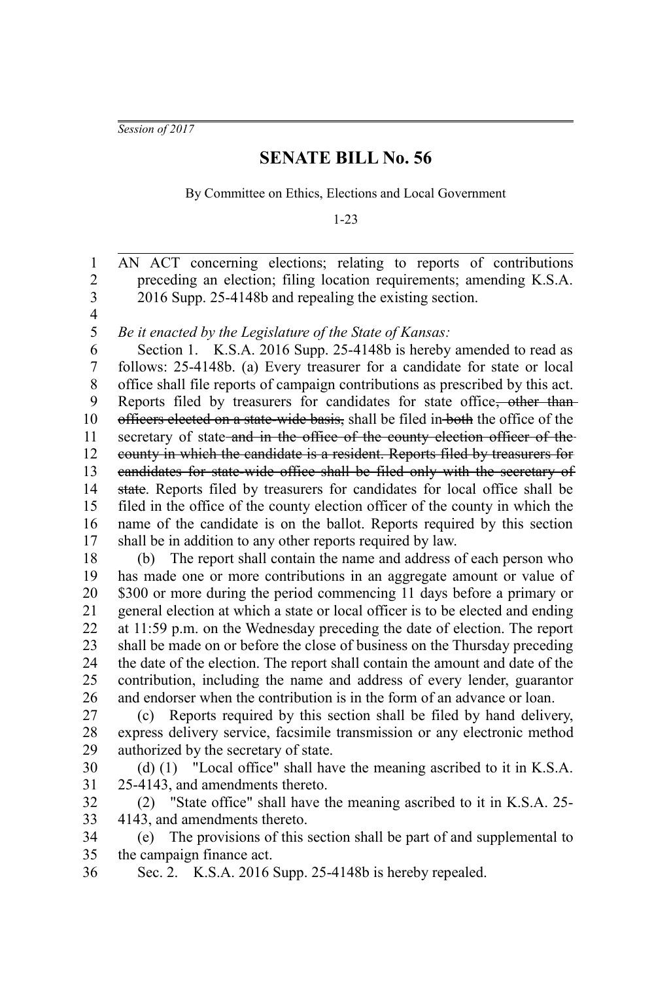*Session of 2017*

## **SENATE BILL No. 56**

By Committee on Ethics, Elections and Local Government

1-23

AN ACT concerning elections; relating to reports of contributions preceding an election; filing location requirements; amending K.S.A. 2016 Supp. 25-4148b and repealing the existing section. 1 2 3

4 5

*Be it enacted by the Legislature of the State of Kansas:*

Section 1. K.S.A. 2016 Supp. 25-4148b is hereby amended to read as follows: 25-4148b. (a) Every treasurer for a candidate for state or local office shall file reports of campaign contributions as prescribed by this act. Reports filed by treasurers for candidates for state office, other thanofficers elected on a state-wide basis, shall be filed in both the office of the secretary of state and in the office of the county election officer of the county in which the candidate is a resident. Reports filed by treasurers for candidates for state-wide office shall be filed only with the secretary of state. Reports filed by treasurers for candidates for local office shall be filed in the office of the county election officer of the county in which the name of the candidate is on the ballot. Reports required by this section shall be in addition to any other reports required by law. 6 7 8 9 10 11 12 13 14 15 16 17

(b) The report shall contain the name and address of each person who has made one or more contributions in an aggregate amount or value of \$300 or more during the period commencing 11 days before a primary or general election at which a state or local officer is to be elected and ending at 11:59 p.m. on the Wednesday preceding the date of election. The report shall be made on or before the close of business on the Thursday preceding the date of the election. The report shall contain the amount and date of the contribution, including the name and address of every lender, guarantor and endorser when the contribution is in the form of an advance or loan. 18 19 20 21 22 23 24 25 26

(c) Reports required by this section shall be filed by hand delivery, express delivery service, facsimile transmission or any electronic method authorized by the secretary of state. 27 28 29

(d) (1) "Local office" shall have the meaning ascribed to it in K.S.A. 25-4143, and amendments thereto. 30 31

(2) "State office" shall have the meaning ascribed to it in K.S.A. 25- 4143, and amendments thereto. 32 33

(e) The provisions of this section shall be part of and supplemental to the campaign finance act. 34 35

Sec. 2. K.S.A. 2016 Supp. 25-4148b is hereby repealed. 36